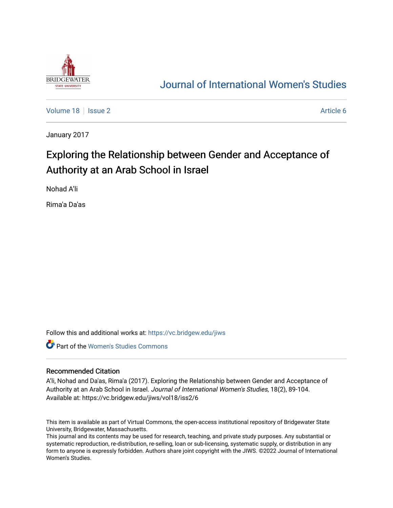

# [Journal of International Women's Studies](https://vc.bridgew.edu/jiws)

[Volume 18](https://vc.bridgew.edu/jiws/vol18) | [Issue 2](https://vc.bridgew.edu/jiws/vol18/iss2) Article 6

January 2017

# Exploring the Relationship between Gender and Acceptance of Authority at an Arab School in Israel

Nohad A'li

Rima'a Da'as

Follow this and additional works at: [https://vc.bridgew.edu/jiws](https://vc.bridgew.edu/jiws?utm_source=vc.bridgew.edu%2Fjiws%2Fvol18%2Fiss2%2F6&utm_medium=PDF&utm_campaign=PDFCoverPages)

**C** Part of the Women's Studies Commons

#### Recommended Citation

A'li, Nohad and Da'as, Rima'a (2017). Exploring the Relationship between Gender and Acceptance of Authority at an Arab School in Israel. Journal of International Women's Studies, 18(2), 89-104. Available at: https://vc.bridgew.edu/jiws/vol18/iss2/6

This item is available as part of Virtual Commons, the open-access institutional repository of Bridgewater State University, Bridgewater, Massachusetts.

This journal and its contents may be used for research, teaching, and private study purposes. Any substantial or systematic reproduction, re-distribution, re-selling, loan or sub-licensing, systematic supply, or distribution in any form to anyone is expressly forbidden. Authors share joint copyright with the JIWS. ©2022 Journal of International Women's Studies.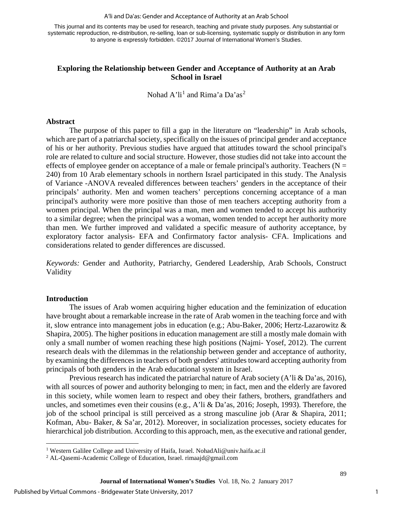#### A'li and Da'as: Gender and Acceptance of Authority at an Arab School

This journal and its contents may be used for research, teaching and private study purposes. Any substantial or systematic reproduction, re-distribution, re-selling, loan or sub-licensing, systematic supply or distribution in any form to anyone is expressly forbidden. ©2017 Journal of International Women's Studies.

# **Exploring the Relationship between Gender and Acceptance of Authority at an Arab School in Israel**

Nohad A'li<sup>[1](#page-1-0)</sup> and Rima'a Da'as<sup>[2](#page-1-1)</sup>

#### **Abstract**

The purpose of this paper to fill a gap in the literature on "leadership" in Arab schools, which are part of a patriarchal society, specifically on the issues of principal gender and acceptance of his or her authority. Previous studies have argued that attitudes toward the school principal's role are related to culture and social structure. However, those studies did not take into account the effects of employee gender on acceptance of a male or female principal's authority. Teachers ( $N =$ 240) from 10 Arab elementary schools in northern Israel participated in this study. The Analysis of Variance -ANOVA revealed differences between teachers' genders in the acceptance of their principals' authority. Men and women teachers' perceptions concerning acceptance of a man principal's authority were more positive than those of men teachers accepting authority from a women principal. When the principal was a man, men and women tended to accept his authority to a similar degree; when the principal was a woman, women tended to accept her authority more than men. We further improved and validated a specific measure of authority acceptance, by exploratory factor analysis- EFA and Confirmatory factor analysis- CFA. Implications and considerations related to gender differences are discussed.

*Keywords:* Gender and Authority, Patriarchy, Gendered Leadership, Arab Schools, Construct Validity

# **Introduction**

l

The issues of Arab women acquiring higher education and the feminization of education have brought about a remarkable increase in the rate of Arab women in the teaching force and with it, slow entrance into management jobs in education (e.g.; Abu-Baker, 2006; Hertz-Lazarowitz & Shapira, 2005). The higher positions in education management are still a mostly male domain with only a small number of women reaching these high positions (Najmi- Yosef, 2012). The current research deals with the dilemmas in the relationship between gender and acceptance of authority, by examining the differences in teachers of both genders' attitudes toward accepting authority from principals of both genders in the Arab educational system in Israel.

Previous research has indicated the patriarchal nature of Arab society (A'li & Da'as, 2016), with all sources of power and authority belonging to men; in fact, men and the elderly are favored in this society, while women learn to respect and obey their fathers, brothers, grandfathers and uncles, and sometimes even their cousins (e.g., A'li & Da'as, 2016; Joseph, 1993). Therefore, the job of the school principal is still perceived as a strong masculine job (Arar & Shapira, 2011; Kofman, Abu- Baker, & Sa'ar, 2012). Moreover, in socialization processes, society educates for hierarchical job distribution. According to this approach, men, as the executive and rational gender,

<span id="page-1-0"></span><sup>&</sup>lt;sup>1</sup> Western Galilee College and University of Haifa, Israel. NohadAli@univ.haifa.ac.il

<span id="page-1-1"></span><sup>2</sup> AL-Qasemi-Academic College of Education, Israel. rimaajd@gmail.com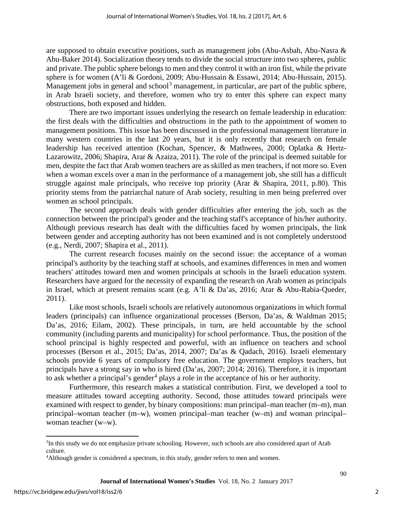are supposed to obtain executive positions, such as management jobs (Abu-Asbah, Abu-Nasra & Abu-Baker 2014). Socialization theory tends to divide the social structure into two spheres, public and private. The public sphere belongs to men and they control it with an iron fist, while the private sphere is for women (A'li & Gordoni, 2009; Abu-Hussain & Essawi, 2014; Abu-Hussain, 2015). Management jobs in general and school<sup>[3](#page-2-0)</sup> management, in particular, are part of the public sphere, in Arab Israeli society, and therefore, women who try to enter this sphere can expect many obstructions, both exposed and hidden.

There are two important issues underlying the research on female leadership in education: the first deals with the difficulties and obstructions in the path to the appointment of women to management positions. This issue has been discussed in the professional management literature in many western countries in the last 20 years, but it is only recently that research on female leadership has received attention (Kochan, Spencer, & Mathwees, 2000; Oplatka & Hertz-Lazarowitz, 2006; Shapira, Arar & Azaiza, 2011). The role of the principal is deemed suitable for men, despite the fact that Arab women teachers are as skilled as men teachers, if not more so. Even when a woman excels over a man in the performance of a management job, she still has a difficult struggle against male principals, who receive top priority (Arar & Shapira, 2011, p.80). This priority stems from the patriarchal nature of Arab society, resulting in men being preferred over women as school principals.

The second approach deals with gender difficulties after entering the job, such as the connection between the principal's gender and the teaching staff's acceptance of his/her authority. Although previous research has dealt with the difficulties faced by women principals, the link between gender and accepting authority has not been examined and is not completely understood (e.g., Nerdi, 2007; Shapira et al., 2011).

The current research focuses mainly on the second issue: the acceptance of a woman principal's authority by the teaching staff at schools, and examines differences in men and women teachers' attitudes toward men and women principals at schools in the Israeli education system. Researchers have argued for the necessity of expanding the research on Arab women as principals in Israel, which at present remains scant (e.g. A'li & Da'as, 2016; Arar & Abu-Rabia-Queder, 2011).

Like most schools, Israeli schools are relatively autonomous organizations in which formal leaders (principals) can influence organizational processes (Berson, Da'as, & Waldman 2015; Da'as, 2016; Eilam, 2002). These principals, in turn, are held accountable by the school community (including parents and municipality) for school performance. Thus, the position of the school principal is highly respected and powerful, with an influence on teachers and school processes (Berson et al., 2015; Da'as, 2014, 2007; Da'as & Qadach, 2016). Israeli elementary schools provide 6 years of compulsory free education. The government employs teachers, but principals have a strong say in who is hired (Da'as, 2007; 2014; 2016). Therefore, it is important to ask whether a principal's gender<sup>[4](#page-2-1)</sup> plays a role in the acceptance of his or her authority.

Furthermore, this research makes a statistical contribution. First, we developed a tool to measure attitudes toward accepting authority. Second, those attitudes toward principals were examined with respect to gender, by binary compositions: man principal–man teacher (m–m), man principal–woman teacher (m–w), women principal–man teacher (w–m) and woman principal– woman teacher (w–w).

 $\overline{\phantom{a}}$ 

<span id="page-2-0"></span><sup>&</sup>lt;sup>3</sup>In this study we do not emphasize private schooling. However, such schools are also considered apart of Arab culture.

<span id="page-2-1"></span><sup>4</sup> Although gender is considered a spectrum, in this study, gender refers to men and women.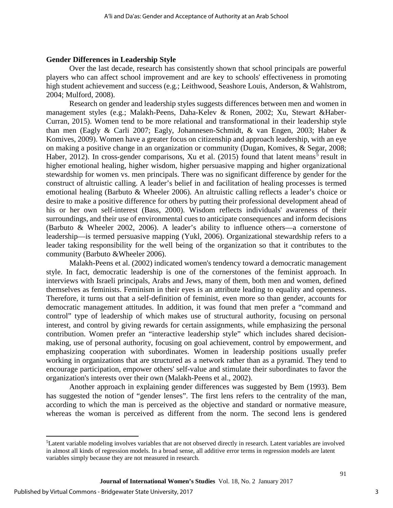## **Gender Differences in Leadership Style**

Over the last decade, research has consistently shown that school principals are powerful players who can affect school improvement and are key to schools' effectiveness in promoting high student achievement and success (e.g.; Leithwood, Seashore Louis, Anderson, & Wahlstrom, 2004; Mulford, 2008).

Research on gender and leadership styles suggests differences between men and women in management styles (e.g.; Malakh-Peens, Daha-Kelev & Ronen, 2002; Xu, Stewart &Haber-Curran, 2015). Women tend to be more relational and transformational in their leadership style than men (Eagly & Carli 2007; Eagly, Johannesen-Schmidt, & van Engen, 2003; Haber & Komives, 2009). Women have a greater focus on citizenship and approach leadership, with an eye on making a positive change in an organization or community (Dugan, Komives, & Segar, 2008; Haber, 2012). In cross-gender comparisons, Xu et al. (201[5](#page-3-0)) found that latent means<sup>5</sup> result in higher emotional healing, higher wisdom, higher persuasive mapping and higher organizational stewardship for women vs. men principals. There was no significant difference by gender for the construct of altruistic calling. A leader's belief in and facilitation of healing processes is termed emotional healing (Barbuto & Wheeler 2006). An altruistic calling reflects a leader's choice or desire to make a positive difference for others by putting their professional development ahead of his or her own self-interest (Bass, 2000). Wisdom reflects individuals' awareness of their surroundings, and their use of environmental cues to anticipate consequences and inform decisions (Barbuto & Wheeler 2002, 2006). A leader's ability to influence others—a cornerstone of leadership—is termed persuasive mapping (Yukl, 2006). Organizational stewardship refers to a leader taking responsibility for the well being of the organization so that it contributes to the community (Barbuto &Wheeler 2006).

Malakh-Peens et al. (2002) indicated women's tendency toward a democratic management style. In fact, democratic leadership is one of the cornerstones of the feminist approach. In interviews with Israeli principals, Arabs and Jews, many of them, both men and women, defined themselves as feminists. Feminism in their eyes is an attribute leading to equality and openness. Therefore, it turns out that a self-definition of feminist, even more so than gender, accounts for democratic management attitudes. In addition, it was found that men prefer a "command and control" type of leadership of which makes use of structural authority, focusing on personal interest, and control by giving rewards for certain assignments, while emphasizing the personal contribution. Women prefer an "interactive leadership style" which includes shared decisionmaking, use of personal authority, focusing on goal achievement, control by empowerment, and emphasizing cooperation with subordinates. Women in leadership positions usually prefer working in organizations that are structured as a network rather than as a pyramid. They tend to encourage participation, empower others' self-value and stimulate their subordinates to favor the organization's interests over their own (Malakh-Peens et al., 2002).

Another approach in explaining gender differences was suggested by Bem (1993). Bem has suggested the notion of "gender lenses". The first lens refers to the centrality of the man, according to which the man is perceived as the objective and standard or normative measure, whereas the woman is perceived as different from the norm. The second lens is gendered

 $\overline{\phantom{a}}$ 

<span id="page-3-0"></span><sup>5</sup> Latent variable modeling involves variables that are not observed directly in research. Latent variables are involved in almost all kinds of regression models. In a broad sense, all additive error terms in regression models are latent variables simply because they are not measured in research.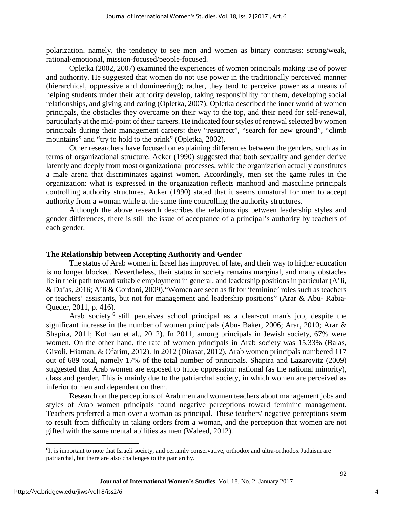polarization, namely, the tendency to see men and women as binary contrasts: strong/weak, rational/emotional, mission-focused/people-focused.

Opletka (2002, 2007) examined the experiences of women principals making use of power and authority. He suggested that women do not use power in the traditionally perceived manner (hierarchical, oppressive and domineering); rather, they tend to perceive power as a means of helping students under their authority develop, taking responsibility for them, developing social relationships, and giving and caring (Opletka, 2007). Opletka described the inner world of women principals, the obstacles they overcame on their way to the top, and their need for self-renewal, particularly at the mid-point of their careers. He indicated four styles of renewal selected by women principals during their management careers: they "resurrect", "search for new ground", "climb mountains" and "try to hold to the brink" (Opletka, 2002).

Other researchers have focused on explaining differences between the genders, such as in terms of organizational structure. Acker (1990) suggested that both sexuality and gender derive latently and deeply from most organizational processes, while the organization actually constitutes a male arena that discriminates against women. Accordingly, men set the game rules in the organization: what is expressed in the organization reflects manhood and masculine principals controlling authority structures. Acker (1990) stated that it seems unnatural for men to accept authority from a woman while at the same time controlling the authority structures.

Although the above research describes the relationships between leadership styles and gender differences, there is still the issue of acceptance of a principal's authority by teachers of each gender.

#### **The Relationship between Accepting Authority and Gender**

The status of Arab women in Israel has improved of late, and their way to higher education is no longer blocked. Nevertheless, their status in society remains marginal, and many obstacles lie in their path toward suitable employment in general, and leadership positions in particular (A'li, & Da'as, 2016; A'li & Gordoni, 2009)."Women are seen as fit for 'feminine' roles such as teachers or teachers' assistants, but not for management and leadership positions" (Arar & Abu- Rabia-Queder, 2011, p. 416).

Arab society <sup>[6](#page-4-0)</sup> still perceives school principal as a clear-cut man's job, despite the significant increase in the number of women principals (Abu- Baker, 2006; Arar, 2010; Arar & Shapira, 2011; Kofman et al., 2012). In 2011, among principals in Jewish society, 67% were women. On the other hand, the rate of women principals in Arab society was 15.33% (Balas, Givoli, Hiaman, & Ofarim, 2012). In 2012 (Dirasat, 2012), Arab women principals numbered 117 out of 689 total, namely 17% of the total number of principals. Shapira and Lazarovitz (2009) suggested that Arab women are exposed to triple oppression: national (as the national minority), class and gender. This is mainly due to the patriarchal society, in which women are perceived as inferior to men and dependent on them.

Research on the perceptions of Arab men and women teachers about management jobs and styles of Arab women principals found negative perceptions toward feminine management. Teachers preferred a man over a woman as principal. These teachers' negative perceptions seem to result from difficulty in taking orders from a woman, and the perception that women are not gifted with the same mental abilities as men (Waleed, 2012).

l

<span id="page-4-0"></span><sup>&</sup>lt;sup>6</sup>It is important to note that Israeli society, and certainly conservative, orthodox and ultra-orthodox Judaism are patriarchal, but there are also challenges to the patriarchy.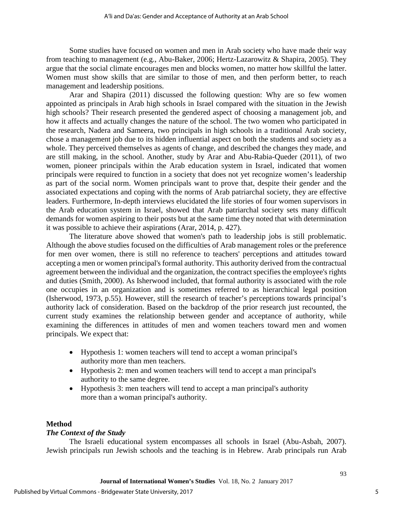Some studies have focused on women and men in Arab society who have made their way from teaching to management (e.g., Abu-Baker, 2006; Hertz-Lazarowitz & Shapira, 2005). They argue that the social climate encourages men and blocks women, no matter how skillful the latter. Women must show skills that are similar to those of men, and then perform better, to reach management and leadership positions.

Arar and Shapira (2011) discussed the following question: Why are so few women appointed as principals in Arab high schools in Israel compared with the situation in the Jewish high schools? Their research presented the gendered aspect of choosing a management job, and how it affects and actually changes the nature of the school. The two women who participated in the research, Nadera and Sameera, two principals in high schools in a traditional Arab society, chose a management job due to its hidden influential aspect on both the students and society as a whole. They perceived themselves as agents of change, and described the changes they made, and are still making, in the school. Another, study by Arar and Abu-Rabia-Queder (2011), of two women, pioneer principals within the Arab education system in Israel, indicated that women principals were required to function in a society that does not yet recognize women's leadership as part of the social norm. Women principals want to prove that, despite their gender and the associated expectations and coping with the norms of Arab patriarchal society, they are effective leaders. Furthermore, In-depth interviews elucidated the life stories of four women supervisors in the Arab education system in Israel, showed that Arab patriarchal society sets many difficult demands for women aspiring to their posts but at the same time they noted that with determination it was possible to achieve their aspirations (Arar, 2014, p. 427).

The literature above showed that women's path to leadership jobs is still problematic. Although the above studies focused on the difficulties of Arab management roles or the preference for men over women, there is still no reference to teachers' perceptions and attitudes toward accepting a men or women principal's formal authority. This authority derived from the contractual agreement between the individual and the organization, the contract specifies the employee's rights and duties (Smith, 2000). As Isherwood included, that formal authority is associated with the role one occupies in an organization and is sometimes referred to as hierarchical legal position (Isherwood, 1973, p.55). However, still the research of teacher's perceptions towards principal's authority lack of consideration. Based on the backdrop of the prior research just recounted, the current study examines the relationship between gender and acceptance of authority, while examining the differences in attitudes of men and women teachers toward men and women principals. We expect that:

- Hypothesis 1: women teachers will tend to accept a woman principal's authority more than men teachers.
- Hypothesis 2: men and women teachers will tend to accept a man principal's authority to the same degree.
- Hypothesis 3: men teachers will tend to accept a man principal's authority more than a woman principal's authority.

# **Method**

# *The Context of the Study*

The Israeli educational system encompasses all schools in Israel (Abu-Asbah, 2007). Jewish principals run Jewish schools and the teaching is in Hebrew. Arab principals run Arab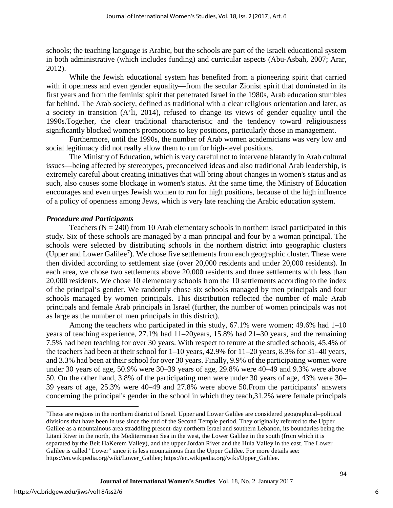schools; the teaching language is Arabic, but the schools are part of the Israeli educational system in both administrative (which includes funding) and curricular aspects (Abu-Asbah, 2007; Arar, 2012).

While the Jewish educational system has benefited from a pioneering spirit that carried with it openness and even gender equality—from the secular Zionist spirit that dominated in its first years and from the feminist spirit that penetrated Israel in the 1980s, Arab education stumbles far behind. The Arab society, defined as traditional with a clear religious orientation and later, as a society in transition (A'li, 2014), refused to change its views of gender equality until the 1990s.Together, the clear traditional characteristic and the tendency toward religiousness significantly blocked women's promotions to key positions, particularly those in management.

Furthermore, until the 1990s, the number of Arab women academicians was very low and social legitimacy did not really allow them to run for high-level positions.

The Ministry of Education, which is very careful not to intervene blatantly in Arab cultural issues—being affected by stereotypes, preconceived ideas and also traditional Arab leadership, is extremely careful about creating initiatives that will bring about changes in women's status and as such, also causes some blockage in women's status. At the same time, the Ministry of Education encourages and even urges Jewish women to run for high positions, because of the high influence of a policy of openness among Jews, which is very late reaching the Arabic education system.

## *Procedure and Participants*

Teachers ( $N = 240$ ) from 10 Arab elementary schools in northern Israel participated in this study. Six of these schools are managed by a man principal and four by a woman principal. The schools were selected by distributing schools in the northern district into geographic clusters (Upper and Lower Galilee<sup>[7](#page-6-0)</sup>). We chose five settlements from each geographic cluster. These were then divided according to settlement size (over 20,000 residents and under 20,000 residents). In each area, we chose two settlements above 20,000 residents and three settlements with less than 20,000 residents. We chose 10 elementary schools from the 10 settlements according to the index of the principal's gender. We randomly chose six schools managed by men principals and four schools managed by women principals. This distribution reflected the number of male Arab principals and female Arab principals in Israel (further, the number of women principals was not as large as the number of men principals in this district).

Among the teachers who participated in this study, 67.1% were women; 49.6% had 1–10 years of teaching experience, 27.1% had 11–20years, 15.8% had 21–30 years, and the remaining 7.5% had been teaching for over 30 years. With respect to tenure at the studied schools, 45.4% of the teachers had been at their school for 1–10 years, 42.9% for 11–20 years, 8.3% for 31–40 years, and 3.3% had been at their school for over 30 years. Finally, 9.9% of the participating women were under 30 years of age, 50.9% were 30–39 years of age, 29.8% were 40–49 and 9.3% were above 50. On the other hand, 3.8% of the participating men were under 30 years of age, 43% were 30– 39 years of age, 25.3% were 40–49 and 27.8% were above 50.From the participants' answers concerning the principal's gender in the school in which they teach,31.2% were female principals

l

<span id="page-6-0"></span><sup>7</sup> These are regions in the northern district of Israel. Upper and Lower Galilee are considered geographical–political divisions that have been in use since the end of the Second Temple period. They originally referred to the Upper Galilee as a mountainous area straddling present-day northern Israel and southern Lebanon, its boundaries being the Litani River in the north, the Mediterranean Sea in the west, the Lower Galilee in the south (from which it is separated by the Beit HaKerem Valley), and the upper Jordan River and the Hula Valley in the east. The Lower Galilee is called "Lower" since it is less mountainous than the Upper Galilee. For more details see: https://en.wikipedia.org/wiki/Lower\_Galilee; https://en.wikipedia.org/wiki/Upper\_Galilee.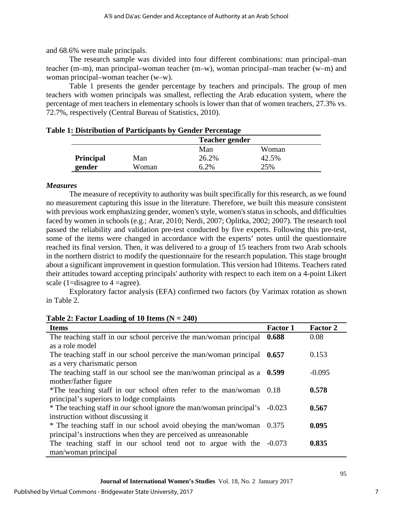and 68.6% were male principals.

The research sample was divided into four different combinations: man principal–man teacher (m–m), man principal–woman teacher (m–w), woman principal–man teacher (w–m) and woman principal–woman teacher (w–w).

Table 1 presents the gender percentage by teachers and principals. The group of men teachers with women principals was smallest, reflecting the Arab education system, where the percentage of men teachers in elementary schools is lower than that of women teachers, 27.3% vs. 72.7%, respectively (Central Bureau of Statistics, 2010).

|                  |       | <b>Teacher gender</b> |       |  |
|------------------|-------|-----------------------|-------|--|
|                  |       | Man                   | Woman |  |
| <b>Principal</b> | Man   | 26.2%                 | 42.5% |  |
| gender           | Woman | 6.2%                  | 25%   |  |

## **Table 1: Distribution of Participants by Gender Percentage**

## *Measures*

The measure of receptivity to authority was built specifically for this research, as we found no measurement capturing this issue in the literature. Therefore, we built this measure consistent with previous work emphasizing gender, women's style, women's status in schools, and difficulties faced by women in schools (e.g.; Arar, 2010; Nerdi, 2007; Oplitka, 2002; 2007). The research tool passed the reliability and validation pre-test conducted by five experts. Following this pre-test, some of the items were changed in accordance with the experts' notes until the questionnaire reached its final version. Then, it was delivered to a group of 15 teachers from two Arab schools in the northern district to modify the questionnaire for the research population. This stage brought about a significant improvement in question formulation. This version had 10items. Teachers rated their attitudes toward accepting principals' authority with respect to each item on a 4-point Likert scale (1=disagree to 4 =agree).

Exploratory factor analysis (EFA) confirmed two factors (by Varimax rotation as shown in Table 2.

|  |  | Table 2: Factor Loading of 10 Items $(N = 240)$ |
|--|--|-------------------------------------------------|
|--|--|-------------------------------------------------|

| <b>Items</b>                                                              | <b>Factor 1</b> | <b>Factor 2</b> |
|---------------------------------------------------------------------------|-----------------|-----------------|
| The teaching staff in our school perceive the man/woman principal         | 0.688           | 0.08            |
| as a role model                                                           |                 |                 |
| The teaching staff in our school perceive the man/woman principal $0.657$ |                 | 0.153           |
| as a very charismatic person                                              |                 |                 |
| The teaching staff in our school see the man/woman principal as a         | 0.599           | $-0.095$        |
| mother/father figure                                                      |                 |                 |
| *The teaching staff in our school often refer to the man/woman 0.18       |                 | 0.578           |
| principal's superiors to lodge complaints                                 |                 |                 |
| * The teaching staff in our school ignore the man/woman principal's       | $-0.023$        | 0.567           |
| instruction without discussing it                                         |                 |                 |
| * The teaching staff in our school avoid obeying the man/woman            | 0.375           | 0.095           |
| principal's instructions when they are perceived as unreasonable          |                 |                 |
| The teaching staff in our school tend not to argue with the -0.073        |                 | 0.835           |
| man/woman principal                                                       |                 |                 |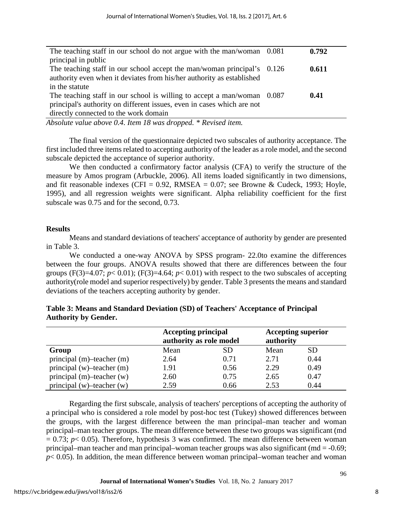| principal in public<br>The teaching staff in our school accept the man/woman principal's 0.126<br>0.611<br>authority even when it deviates from his/her authority as established<br>in the statute<br>The teaching staff in our school is willing to accept a man/woman 0.087<br>0.41<br>principal's authority on different issues, even in cases which are not | The teaching staff in our school do not argue with the man/woman 0.081 | 0.792 |
|-----------------------------------------------------------------------------------------------------------------------------------------------------------------------------------------------------------------------------------------------------------------------------------------------------------------------------------------------------------------|------------------------------------------------------------------------|-------|
|                                                                                                                                                                                                                                                                                                                                                                 |                                                                        |       |
|                                                                                                                                                                                                                                                                                                                                                                 |                                                                        |       |
|                                                                                                                                                                                                                                                                                                                                                                 |                                                                        |       |
|                                                                                                                                                                                                                                                                                                                                                                 |                                                                        |       |
|                                                                                                                                                                                                                                                                                                                                                                 |                                                                        |       |
|                                                                                                                                                                                                                                                                                                                                                                 |                                                                        |       |
|                                                                                                                                                                                                                                                                                                                                                                 | directly connected to the work domain                                  |       |

*Absolute value above 0.4. Item 18 was dropped. \* Revised item.* 

The final version of the questionnaire depicted two subscales of authority acceptance. The first included three items related to accepting authority of the leader as a role model, and the second subscale depicted the acceptance of superior authority.

We then conducted a confirmatory factor analysis (CFA) to verify the structure of the measure by Amos program (Arbuckle, 2006). All items loaded significantly in two dimensions, and fit reasonable indexes (CFI =  $0.92$ , RMSEA =  $0.07$ ; see Browne & Cudeck, 1993; Hoyle, 1995), and all regression weights were significant. Alpha reliability coefficient for the first subscale was 0.75 and for the second, 0.73.

# **Results**

Means and standard deviations of teachers' acceptance of authority by gender are presented in Table 3.

We conducted a one-way ANOVA by SPSS program- 22.0to examine the differences between the four groups. ANOVA results showed that there are differences between the four groups  $(F(3)=4.07; p<0.01)$ ;  $(F(3)=4.64; p<0.01)$  with respect to the two subscales of accepting authority(role model and superior respectively) by gender. Table 3 presents the means and standard deviations of the teachers accepting authority by gender.

|                                | <b>Accepting principal</b><br>authority as role model |      | <b>Accepting superior</b><br>authority |           |
|--------------------------------|-------------------------------------------------------|------|----------------------------------------|-----------|
| Group                          | Mean                                                  | SD   | Mean                                   | <b>SD</b> |
| principal $(m)$ -teacher $(m)$ | 2.64                                                  | 0.71 | 2.71                                   | 0.44      |
| principal (w)-teacher (m)      | 1.91                                                  | 0.56 | 2.29                                   | 0.49      |
| principal $(m)$ -teacher $(w)$ | 2.60                                                  | 0.75 | 2.65                                   | 0.47      |
| principal $(w)$ -teacher $(w)$ | 2.59                                                  | 0.66 | 2.53                                   | 0.44      |

| Table 3: Means and Standard Deviation (SD) of Teachers' Acceptance of Principal |  |  |
|---------------------------------------------------------------------------------|--|--|
| <b>Authority by Gender.</b>                                                     |  |  |

Regarding the first subscale, analysis of teachers' perceptions of accepting the authority of a principal who is considered a role model by post-hoc test (Tukey) showed differences between the groups, with the largest difference between the man principal–man teacher and woman principal–man teacher groups. The mean difference between these two groups was significant (md  $= 0.73$ ;  $p < 0.05$ ). Therefore, hypothesis 3 was confirmed. The mean difference between woman principal–man teacher and man principal–woman teacher groups was also significant ( $md = -0.69$ ;  $p<$  0.05). In addition, the mean difference between woman principal–woman teacher and woman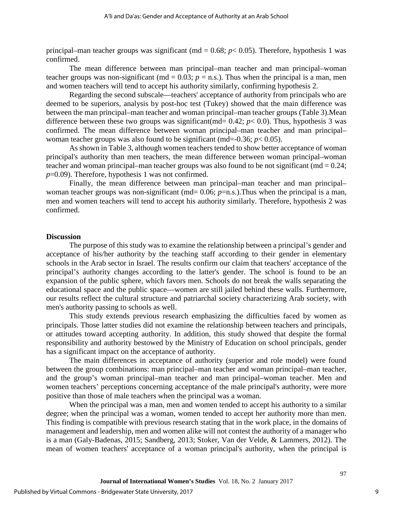principal–man teacher groups was significant ( $md = 0.68$ ;  $p < 0.05$ ). Therefore, hypothesis 1 was confirmed.

The mean difference between man principal–man teacher and man principal–woman teacher groups was non-significant ( $md = 0.03$ ;  $p = n.s$ .). Thus when the principal is a man, men and women teachers will tend to accept his authority similarly, confirming hypothesis 2.

Regarding the second subscale—teachers' acceptance of authority from principals who are deemed to be superiors, analysis by post-hoc test (Tukey) showed that the main difference was between the man principal–man teacher and woman principal–man teacher groups (Table 3).Mean difference between these two groups was significant(md=  $0.42$ ;  $p < 0.0$ ). Thus, hypothesis 3 was confirmed. The mean difference between woman principal–man teacher and man principal– woman teacher groups was also found to be significant (md=-0.36;  $p < 0.05$ ).

As shown in Table 3, although women teachers tended to show better acceptance of woman principal's authority than men teachers, the mean difference between woman principal–woman teacher and woman principal–man teacher groups was also found to be not significant ( $md = 0.24$ ; *p*=0.09). Therefore, hypothesis 1 was not confirmed.

Finally, the mean difference between man principal–man teacher and man principal– woman teacher groups was non-significant (md= 0.06; *p*=n.s.). Thus when the principal is a man, men and women teachers will tend to accept his authority similarly. Therefore, hypothesis 2 was confirmed.

## **Discussion**

The purpose of this study was to examine the relationship between a principal's gender and acceptance of his/her authority by the teaching staff according to their gender in elementary schools in the Arab sector in Israel. The results confirm our claim that teachers' acceptance of the principal's authority changes according to the latter's gender. The school is found to be an expansion of the public sphere, which favors men. Schools do not break the walls separating the educational space and the public space—women are still jailed behind these walls. Furthermore, our results reflect the cultural structure and patriarchal society characterizing Arab society, with men's authority passing to schools as well.

This study extends previous research emphasizing the difficulties faced by women as principals. Those latter studies did not examine the relationship between teachers and principals, or attitudes toward accepting authority. In addition, this study showed that despite the formal responsibility and authority bestowed by the Ministry of Education on school principals, gender has a significant impact on the acceptance of authority.

The main differences in acceptance of authority (superior and role model) were found between the group combinations: man principal–man teacher and woman principal–man teacher, and the group's woman principal–man teacher and man principal–woman teacher. Men and women teachers' perceptions concerning acceptance of the male principal's authority, were more positive than those of male teachers when the principal was a woman.

When the principal was a man, men and women tended to accept his authority to a similar degree; when the principal was a woman, women tended to accept her authority more than men. This finding is compatible with previous research stating that in the work place, in the domains of management and leadership, men and women alike will not contest the authority of a manager who is a man (Galy-Badenas, 2015; Sandberg, 2013; Stoker, Van der Velde, & Lammers, 2012). The mean of women teachers' acceptance of a woman principal's authority, when the principal is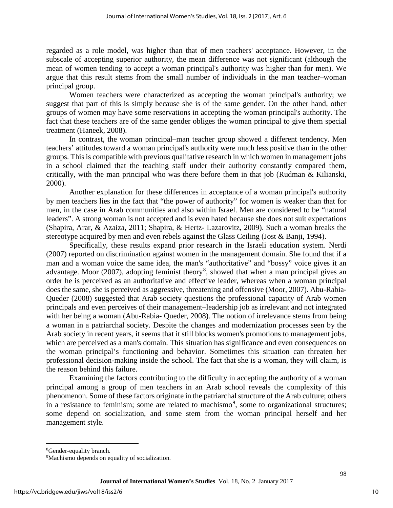regarded as a role model, was higher than that of men teachers' acceptance. However, in the subscale of accepting superior authority, the mean difference was not significant (although the mean of women tending to accept a woman principal's authority was higher than for men). We argue that this result stems from the small number of individuals in the man teacher–woman principal group.

Women teachers were characterized as accepting the woman principal's authority; we suggest that part of this is simply because she is of the same gender. On the other hand, other groups of women may have some reservations in accepting the woman principal's authority. The fact that these teachers are of the same gender obliges the woman principal to give them special treatment (Haneek, 2008).

In contrast, the woman principal–man teacher group showed a different tendency. Men teachers' attitudes toward a woman principal's authority were much less positive than in the other groups. This is compatible with previous qualitative research in which women in management jobs in a school claimed that the teaching staff under their authority constantly compared them, critically, with the man principal who was there before them in that job (Rudman & Kilianski, 2000).

Another explanation for these differences in acceptance of a woman principal's authority by men teachers lies in the fact that "the power of authority" for women is weaker than that for men, in the case in Arab communities and also within Israel. Men are considered to be "natural leaders". A strong woman is not accepted and is even hated because she does not suit expectations (Shapira, Arar, & Azaiza, 2011; Shapira, & Hertz- Lazarovitz, 2009). Such a woman breaks the stereotype acquired by men and even rebels against the Glass Ceiling (Jost & Banji, 1994).

Specifically, these results expand prior research in the Israeli education system. Nerdi (2007) reported on discrimination against women in the management domain. She found that if a man and a woman voice the same idea, the man's "authoritative" and "bossy" voice gives it an advantage. Moor  $(2007)$ , adopting feminist theory<sup>[8](#page-10-0)</sup>, showed that when a man principal gives an order he is perceived as an authoritative and effective leader, whereas when a woman principal does the same, she is perceived as aggressive, threatening and offensive (Moor, 2007). Abu-Rabia-Queder (2008) suggested that Arab society questions the professional capacity of Arab women principals and even perceives of their management–leadership job as irrelevant and not integrated with her being a woman (Abu-Rabia- Queder, 2008). The notion of irrelevance stems from being a woman in a patriarchal society. Despite the changes and modernization processes seen by the Arab society in recent years, it seems that it still blocks women's promotions to management jobs, which are perceived as a man's domain. This situation has significance and even consequences on the woman principal's functioning and behavior. Sometimes this situation can threaten her professional decision-making inside the school. The fact that she is a woman, they will claim, is the reason behind this failure.

Examining the factors contributing to the difficulty in accepting the authority of a woman principal among a group of men teachers in an Arab school reveals the complexity of this phenomenon. Some of these factors originate in the patriarchal structure of the Arab culture; others in a resistance to feminism; some are related to machismo<sup>[9](#page-10-1)</sup>, some to organizational structures; some depend on socialization, and some stem from the woman principal herself and her management style.

l

<span id="page-10-0"></span><sup>&</sup>lt;sup>8</sup>Gender-equality branch.

<span id="page-10-1"></span><sup>&</sup>lt;sup>9</sup>Machismo depends on equality of socialization.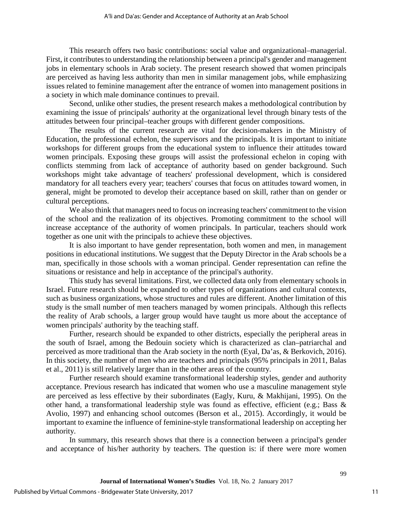This research offers two basic contributions: social value and organizational–managerial. First, it contributes to understanding the relationship between a principal's gender and management jobs in elementary schools in Arab society. The present research showed that women principals are perceived as having less authority than men in similar management jobs, while emphasizing issues related to feminine management after the entrance of women into management positions in a society in which male dominance continues to prevail.

Second, unlike other studies, the present research makes a methodological contribution by examining the issue of principals' authority at the organizational level through binary tests of the attitudes between four principal–teacher groups with different gender compositions.

The results of the current research are vital for decision-makers in the Ministry of Education, the professional echelon, the supervisors and the principals. It is important to initiate workshops for different groups from the educational system to influence their attitudes toward women principals. Exposing these groups will assist the professional echelon in coping with conflicts stemming from lack of acceptance of authority based on gender background. Such workshops might take advantage of teachers' professional development, which is considered mandatory for all teachers every year; teachers' courses that focus on attitudes toward women, in general, might be promoted to develop their acceptance based on skill, rather than on gender or cultural perceptions.

We also think that managers need to focus on increasing teachers' commitment to the vision of the school and the realization of its objectives. Promoting commitment to the school will increase acceptance of the authority of women principals. In particular, teachers should work together as one unit with the principals to achieve these objectives.

It is also important to have gender representation, both women and men, in management positions in educational institutions. We suggest that the Deputy Director in the Arab schools be a man, specifically in those schools with a woman principal. Gender representation can refine the situations or resistance and help in acceptance of the principal's authority.

This study has several limitations. First, we collected data only from elementary schools in Israel. Future research should be expanded to other types of organizations and cultural contexts, such as business organizations, whose structures and rules are different. Another limitation of this study is the small number of men teachers managed by women principals. Although this reflects the reality of Arab schools, a larger group would have taught us more about the acceptance of women principals' authority by the teaching staff.

Further, research should be expanded to other districts, especially the peripheral areas in the south of Israel, among the Bedouin society which is characterized as clan–patriarchal and perceived as more traditional than the Arab society in the north (Eyal, Da'as, & Berkovich, 2016). In this society, the number of men who are teachers and principals (95% principals in 2011, Balas et al., 2011) is still relatively larger than in the other areas of the country.

Further research should examine transformational leadership styles, gender and authority acceptance. Previous research has indicated that women who use a masculine management style are perceived as less effective by their subordinates (Eagly, Kuru, & Makhijani, 1995). On the other hand, a transformational leadership style was found as effective, efficient (e.g.; Bass & Avolio, 1997) and enhancing school outcomes (Berson et al., 2015). Accordingly, it would be important to examine the influence of feminine-style transformational leadership on accepting her authority.

In summary, this research shows that there is a connection between a principal's gender and acceptance of his/her authority by teachers. The question is: if there were more women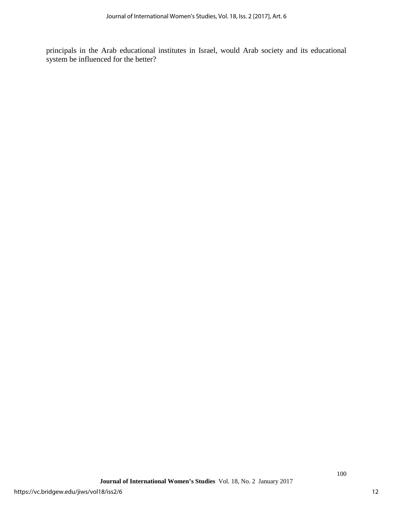principals in the Arab educational institutes in Israel, would Arab society and its educational system be influenced for the better?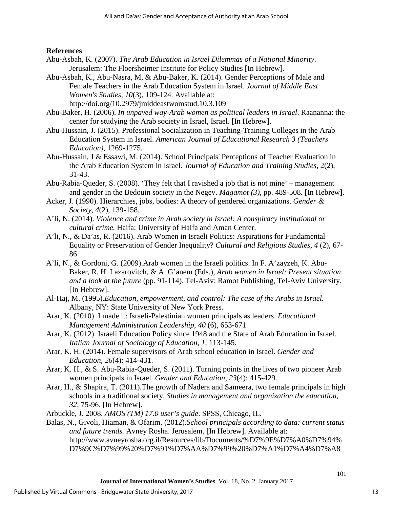# **References**

- Abu-Asbah, K. (2007). *The Arab Education in Israel Dilemmas of a National Minority*. Jerusalem: The Floersheimer Institute for Policy Studies [In Hebrew].
- Abu-Asbah, K., Abu-Nasra, M, & Abu-Baker, K. (2014). Gender Perceptions of Male and Female Teachers in the Arab Education System in Israel. *Journal of Middle East Women's Studies*, *10*(3), 109-124. Available at: http://doi.org/10.2979/jmiddeastwomstud.10.3.109
- Abu-Baker, H. (2006). *In unpaved way-Arab women as political leaders in Israel*. Raananna: the center for studying the Arab society in Israel, Israel. [In Hebrew].
- Abu-Hussain, J. (2015). Professional Socialization in Teaching-Training Colleges in the Arab Education System in Israel. *American Journal of Educational Research 3 (Teachers Education)*, 1269-1275.
- Abu-Hussain, J & Essawi, M. (2014). School Principals' Perceptions of Teacher Evaluation in the Arab Education System in Israel. *Journal of Education and Training Studies,* 2(2), 31-43.
- Abu-Rabia-Queder, S. (2008). 'They felt that I ravished a job that is not mine' management and gender in the Bedouin society in the Negev. *Magamot (3)*, pp. 489-508*.* [In Hebrew].
- Acker, J. (1990). Hierarchies, jobs, bodies: A theory of gendered organizations. *Gender & Society*, *4*(2), 139-158.
- A'li, N. (2014). *Violence and crime in Arab society in Israel: A conspiracy institutional or cultural crime.* Haifa: University of Haifa and Aman Center.
- A'li, N., & Da'as, R. (2016). Arab Women in Israeli Politics: Aspirations for Fundamental Equality or Preservation of Gender Inequality? *Cultural and Religious Studies, 4* (2), 67- 86.
- A'li, N., & Gordoni, G. (2009).Arab women in the Israeli politics. In F. A'zayzeh, K. Abu-Baker, R. H. Lazarovitch, & A. G'anem (Eds.), *Arab women in Israel: Present situation and a look at the future* (pp. 91-114). Tel-Aviv: Ramot Publishing, Tel-Aviv University. [In Hebrew].
- Al-Haj, M. (1995).*Education, empowerment, and control: The case of the Arabs in Israel.* Albany, NY: State University of New York Press.
- Arar, K. (2010). I made it: Israeli-Palestinian women principals as leaders. *Educational Management Administration Leadership, 40* (6), 653-671
- Arar, K. (2012). Israeli Education Policy since 1948 and the State of Arab Education in Israel. *Italian Journal of Sociology of Education, 1,* 113-145.
- Arar, K. H. (2014). Female supervisors of Arab school education in Israel. *Gender and Education, 26*(4): 414-431.
- Arar, K. H., & S. Abu-Rabia-Queder, S. (2011). Turning points in the lives of two pioneer Arab women principals in Israel. *Gender and Education, 23*(4): 415-429.
- Arar, H., & Shapira, T. (2011).The growth of Nadera and Sameera, two female principals in high schools in a traditional society. *Studies in management and organization the education, 32*, 75-96. [In Hebrew].

Arbuckle, J. 2008. *AMOS (TM) 17.0 user's guide*. SPSS, Chicago, IL.

Balas, N., Givoli, Hiaman, & Ofarim, (2012).*School principals according to data: current status and future trends.* Avney Rosha. Jerusalem. [In Hebrew]. Available at: http://www.avneyrosha.org.il/Resources/lib/Documents/%D7%9E%D7%A0%D7%94% D7%9C%D7%99%20%D7%91%D7%AA%D7%99%20%D7%A1%D7%A4%D7%A8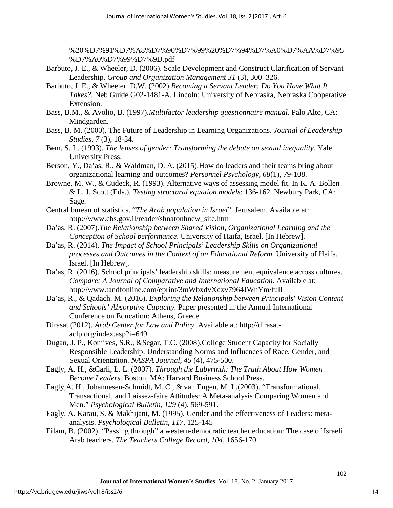%20%D7%91%D7%A8%D7%90%D7%99%20%D7%94%D7%A0%D7%AA%D7%95 %D7%A0%D7%99%D7%9D.pdf

- Barbuto, J. E., & Wheeler, D. (2006). Scale Development and Construct Clarification of Servant Leadership. *Group and Organization Management 31* (3), 300–326.
- Barbuto, J. E., & Wheeler. D.W. (2002).*Becoming a Servant Leader: Do You Have What It Takes?.* Neb Guide G02-1481-A. Lincoln: University of Nebraska, Nebraska Cooperative Extension.
- Bass, B.M., & Avolio, B. (1997).*Multifactor leadership questionnaire manual.* Palo Alto, CA: Mindgarden.
- Bass, B. M. (2000). The Future of Leadership in Learning Organizations. *Journal of Leadership Studies, 7* (3), 18-34.
- Bem, S. L. (1993). *The lenses of gender: Transforming the debate on sexual inequality.* Yale University Press.
- Berson, Y., Da'as, R., & Waldman, D. A. (2015).How do leaders and their teams bring about organizational learning and outcomes? *Personnel Psychology, 68*(1), 79-108.
- Browne, M. W., & Cudeck, R. (1993). Alternative ways of assessing model fit. In K. A. Bollen & L. J. Scott (Eds.), *Testing structural equation models*: 136-162. Newbury Park, CA: Sage.
- Central bureau of statistics. "*The Arab population in Israel*". Jerusalem. Available at: http://www.cbs.gov.il/reader/shnatonhnew\_site.htm
- Da'as, R. (2007).*The Relationship between Shared Vision, Organizational Learning and the Conception of School performance*. University of Haifa, Israel. [In Hebrew].
- Da'as, R. (2014). *The Impact of School Principals' Leadership Skills on Organizational processes and Outcomes in the Context of an Educational Reform*. University of Haifa, Israel. [In Hebrew].
- Da'as, R. (2016). School principals' leadership skills: measurement equivalence across cultures. *Compare: A Journal of Comparative and International Education.* Available at: http://www.tandfonline.com/eprint/3mWbxdvXdxv7964JWnYm/full
- Da'as, R., & Qadach. M. (2016). *Exploring the Relationship between Principals' Vision Content and Schools' Absorptive Capacity.* Paper presented in the Annual International Conference on Education: Athens, Greece.
- Dirasat (2012). *Arab Center for Law and Policy*. Available at: http://dirasataclp.org/index.asp?i=649
- Dugan, J. P., Komives, S.R., &Segar, T.C. (2008).College Student Capacity for Socially Responsible Leadership: Understanding Norms and Influences of Race, Gender, and Sexual Orientation. *NASPA Journal, 45* (4), 475-500.
- Eagly, A. H., &Carli, L. L. (2007). *Through the Labyrinth: The Truth About How Women Become Leaders*. Boston, MA: Harvard Business School Press.
- Eagly,A. H., Johannesen-Schmidt, M. C., & van Engen, M. L.(2003). "Transformational, Transactional, and Laissez-faire Attitudes: A Meta-analysis Comparing Women and Men." *Psychological Bulletin, 129* (4), 569-591.
- Eagly, A. Karau, S. & Makhijani, M. (1995). Gender and the effectiveness of Leaders: metaanalysis. *Psychological Bulletin*, *117*, 125-145
- Eilam, B. (2002). "Passing through" a western-democratic teacher education: The case of Israeli Arab teachers. *The Teachers College Record, 104*, 1656-1701.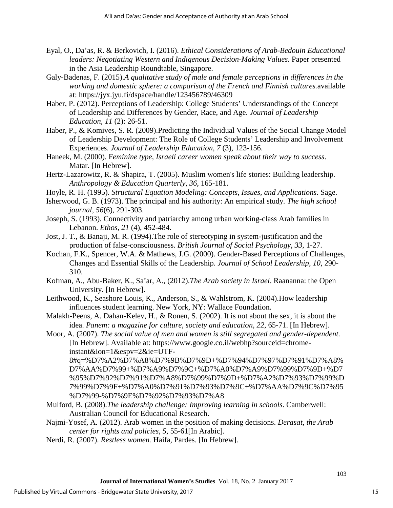- Eyal, O., Da'as, R. & Berkovich, I. (2016). *Ethical Considerations of Arab-Bedouin Educational leaders: Negotiating Western and Indigenous Decision-Making Values.* Paper presented in the Asia Leadership Roundtable, Singapore.
- Galy-Badenas, F. (2015).*A qualitative study of male and female perceptions in differences in the working and domestic sphere: a comparison of the French and Finnish cultures.*available at: https://jyx.jyu.fi/dspace/handle/123456789/46309
- Haber, P. (2012). Perceptions of Leadership: College Students' Understandings of the Concept of Leadership and Differences by Gender, Race, and Age. *Journal of Leadership Education, 11* (2): 26-51.
- Haber, P., & Komives, S. R. (2009).Predicting the Individual Values of the Social Change Model of Leadership Development: The Role of College Students' Leadership and Involvement Experiences. *Journal of Leadership Education, 7* (3), 123-156.
- Haneek, M. (2000). F*eminine type, Israeli career women speak about their way to success*. Matar. [In Hebrew].
- Hertz-Lazarowitz, R. & Shapira, T. (2005). Muslim women's life stories: Building leadership. *Anthropology & Education Quarterly*, *36*, 165-181.
- Hoyle, R. H. (1995). *Structural Equation Modeling: Concepts, Issues, and Applications*. Sage.
- Isherwood, G. B. (1973). The principal and his authority: An empirical study. *The high school journal, 56*(6), 291-303.
- Joseph, S. (1993). Connectivity and patriarchy among urban working-class Arab families in Lebanon. *Ethos*, *21* (4), 452-484.
- Jost, J. T., & Banaji, M. R. (1994).The role of stereotyping in system-justification and the production of false-consciousness. *British Journal of Social Psychology*, *33*, 1-27.
- Kochan, F.K., Spencer, W.A. & Mathews, J.G. (2000). Gender-Based Perceptions of Challenges, Changes and Essential Skills of the Leadership. *Journal of School Leadership*, *10*, 290- 310.
- Kofman, A., Abu-Baker, K., Sa'ar, A., (2012).*The Arab society in Israel*. Raananna: the Open University. [In Hebrew].
- Leithwood, K., Seashore Louis, K., Anderson, S., & Wahlstrom, K. (2004).How leadership influences student learning. New York, NY: Wallace Foundation.
- Malakh-Peens, A. Dahan-Kelev, H., & Ronen, S. (2002). It is not about the sex, it is about the idea. *Panem: a magazine for culture, society and education, 22*, 65-71. [In Hebrew].
- Moor, A. (2007). *The social value of men and women is still segregated and gender-dependent.*  [In Hebrew]. Available at: https://www.google.co.il/webhp?sourceid=chromeinstant&ion=1&espv=2&ie=UTF-

8#q=%D7%A2%D7%A8%D7%9B%D7%9D+%D7%94%D7%97%D7%91%D7%A8% D7%AA%D7%99+%D7%A9%D7%9C+%D7%A0%D7%A9%D7%99%D7%9D+%D7 %95%D7%92%D7%91%D7%A8%D7%99%D7%9D+%D7%A2%D7%93%D7%99%D 7%99%D7%9F+%D7%A0%D7%91%D7%93%D7%9C+%D7%AA%D7%9C%D7%95 %D7%99-%D7%9E%D7%92%D7%93%D7%A8

- Mulford, B. (2008).*The leadership challenge: Improving learning in schools*. Camberwell: Australian Council for Educational Research.
- Najmi-Yosef, A. (2012). Arab women in the position of making decisions. *Derasat, the Arab center for rights and policies, 5*, 55-61[In Arabic].
- Nerdi, R. (2007). *Restless women.* Haifa, Pardes. [In Hebrew].